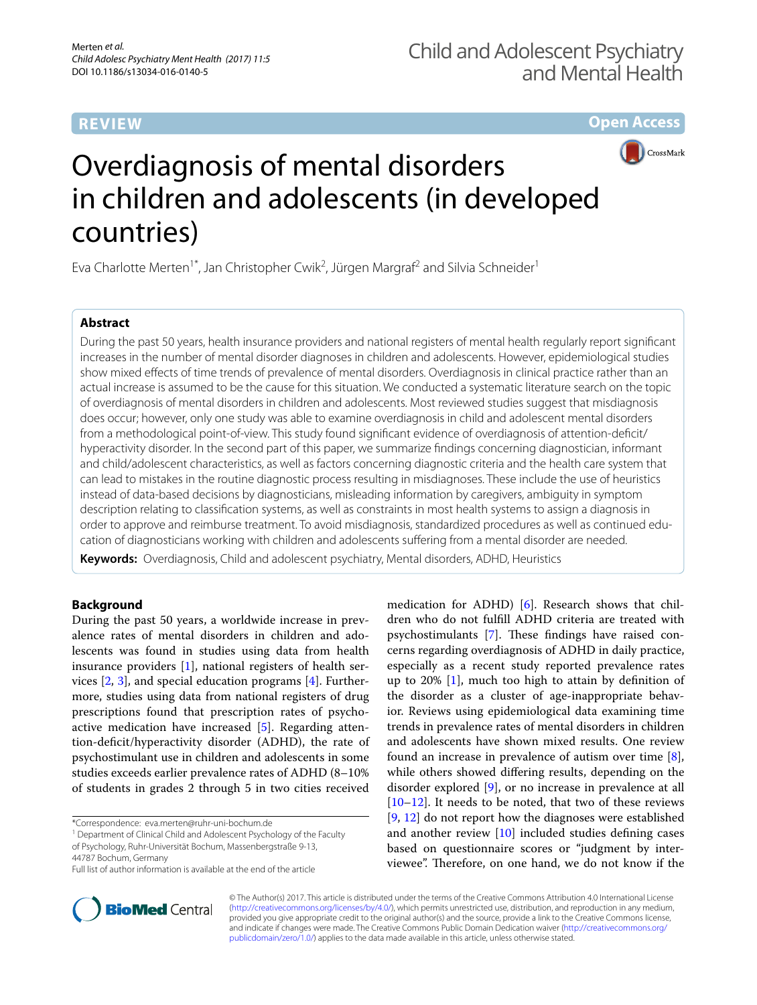# **REVIEW**

**Open Access**



# Overdiagnosis of mental disorders in children and adolescents (in developed countries)

Eva Charlotte Merten<sup>1\*</sup>, Jan Christopher Cwik<sup>2</sup>, Jürgen Margraf<sup>2</sup> and Silvia Schneider<sup>1</sup>

# **Abstract**

During the past 50 years, health insurance providers and national registers of mental health regularly report significant increases in the number of mental disorder diagnoses in children and adolescents. However, epidemiological studies show mixed effects of time trends of prevalence of mental disorders. Overdiagnosis in clinical practice rather than an actual increase is assumed to be the cause for this situation. We conducted a systematic literature search on the topic of overdiagnosis of mental disorders in children and adolescents. Most reviewed studies suggest that misdiagnosis does occur; however, only one study was able to examine overdiagnosis in child and adolescent mental disorders from a methodological point-of-view. This study found significant evidence of overdiagnosis of attention-deficit/ hyperactivity disorder. In the second part of this paper, we summarize findings concerning diagnostician, informant and child/adolescent characteristics, as well as factors concerning diagnostic criteria and the health care system that can lead to mistakes in the routine diagnostic process resulting in misdiagnoses. These include the use of heuristics instead of data-based decisions by diagnosticians, misleading information by caregivers, ambiguity in symptom description relating to classification systems, as well as constraints in most health systems to assign a diagnosis in order to approve and reimburse treatment. To avoid misdiagnosis, standardized procedures as well as continued education of diagnosticians working with children and adolescents suffering from a mental disorder are needed.

**Keywords:** Overdiagnosis, Child and adolescent psychiatry, Mental disorders, ADHD, Heuristics

# **Background**

During the past 50 years, a worldwide increase in prevalence rates of mental disorders in children and adolescents was found in studies using data from health insurance providers [\[1](#page-9-0)], national registers of health services [[2,](#page-9-1) [3](#page-9-2)], and special education programs [\[4](#page-9-3)]. Furthermore, studies using data from national registers of drug prescriptions found that prescription rates of psychoactive medication have increased [\[5](#page-9-4)]. Regarding attention-deficit/hyperactivity disorder (ADHD), the rate of psychostimulant use in children and adolescents in some studies exceeds earlier prevalence rates of ADHD (8–10% of students in grades 2 through 5 in two cities received

\*Correspondence: eva.merten@ruhr-uni-bochum.de 1

<sup>1</sup> Department of Clinical Child and Adolescent Psychology of the Faculty

of Psychology, Ruhr-Universität Bochum, Massenbergstraße 9-13,

44787 Bochum, Germany





© The Author(s) 2017. This article is distributed under the terms of the Creative Commons Attribution 4.0 International License [\(http://creativecommons.org/licenses/by/4.0/\)](http://creativecommons.org/licenses/by/4.0/), which permits unrestricted use, distribution, and reproduction in any medium, provided you give appropriate credit to the original author(s) and the source, provide a link to the Creative Commons license, and indicate if changes were made. The Creative Commons Public Domain Dedication waiver ([http://creativecommons.org/](http://creativecommons.org/publicdomain/zero/1.0/) [publicdomain/zero/1.0/](http://creativecommons.org/publicdomain/zero/1.0/)) applies to the data made available in this article, unless otherwise stated.

Full list of author information is available at the end of the article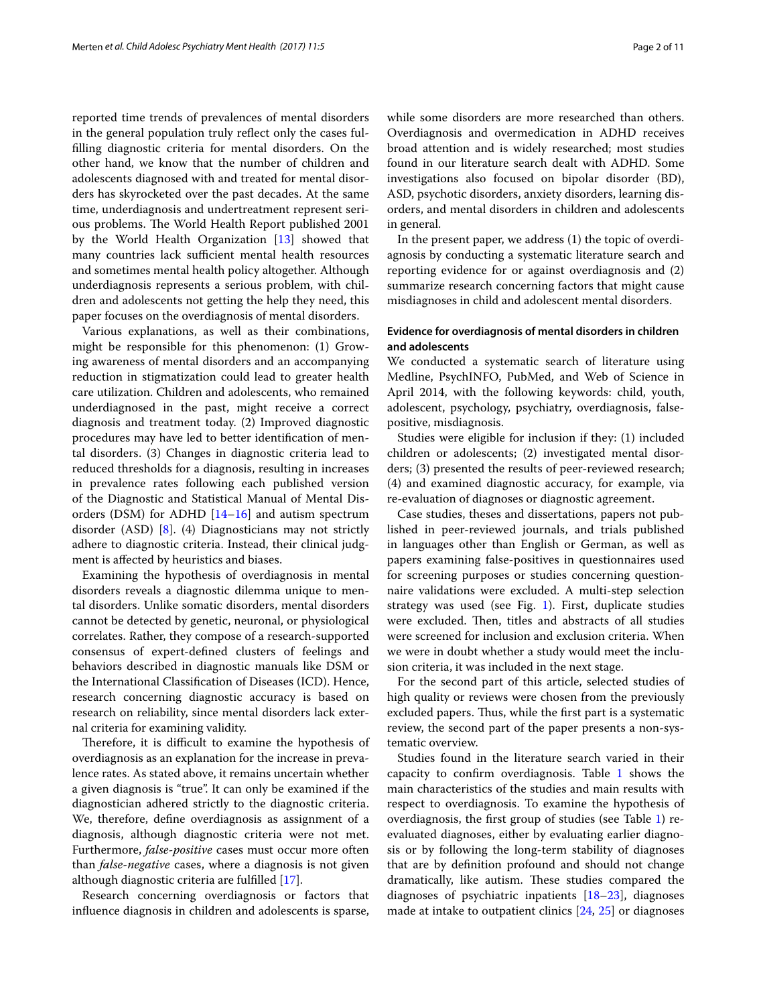reported time trends of prevalences of mental disorders in the general population truly reflect only the cases fulfilling diagnostic criteria for mental disorders. On the other hand, we know that the number of children and adolescents diagnosed with and treated for mental disorders has skyrocketed over the past decades. At the same time, underdiagnosis and undertreatment represent serious problems. The World Health Report published 2001 by the World Health Organization [[13\]](#page-9-11) showed that many countries lack sufficient mental health resources and sometimes mental health policy altogether. Although underdiagnosis represents a serious problem, with children and adolescents not getting the help they need, this paper focuses on the overdiagnosis of mental disorders.

Various explanations, as well as their combinations, might be responsible for this phenomenon: (1) Growing awareness of mental disorders and an accompanying reduction in stigmatization could lead to greater health care utilization. Children and adolescents, who remained underdiagnosed in the past, might receive a correct diagnosis and treatment today. (2) Improved diagnostic procedures may have led to better identification of mental disorders. (3) Changes in diagnostic criteria lead to reduced thresholds for a diagnosis, resulting in increases in prevalence rates following each published version of the Diagnostic and Statistical Manual of Mental Disorders (DSM) for ADHD [\[14–](#page-9-12)[16\]](#page-9-13) and autism spectrum disorder (ASD) [\[8](#page-9-7)]. (4) Diagnosticians may not strictly adhere to diagnostic criteria. Instead, their clinical judgment is affected by heuristics and biases.

Examining the hypothesis of overdiagnosis in mental disorders reveals a diagnostic dilemma unique to mental disorders. Unlike somatic disorders, mental disorders cannot be detected by genetic, neuronal, or physiological correlates. Rather, they compose of a research-supported consensus of expert-defined clusters of feelings and behaviors described in diagnostic manuals like DSM or the International Classification of Diseases (ICD). Hence, research concerning diagnostic accuracy is based on research on reliability, since mental disorders lack external criteria for examining validity.

Therefore, it is difficult to examine the hypothesis of overdiagnosis as an explanation for the increase in prevalence rates. As stated above, it remains uncertain whether a given diagnosis is "true". It can only be examined if the diagnostician adhered strictly to the diagnostic criteria. We, therefore, define overdiagnosis as assignment of a diagnosis, although diagnostic criteria were not met. Furthermore, *false*-*positive* cases must occur more often than *false*-*negative* cases, where a diagnosis is not given although diagnostic criteria are fulfilled [\[17\]](#page-9-14).

Research concerning overdiagnosis or factors that influence diagnosis in children and adolescents is sparse, while some disorders are more researched than others. Overdiagnosis and overmedication in ADHD receives broad attention and is widely researched; most studies found in our literature search dealt with ADHD. Some investigations also focused on bipolar disorder (BD), ASD, psychotic disorders, anxiety disorders, learning disorders, and mental disorders in children and adolescents in general.

In the present paper, we address (1) the topic of overdiagnosis by conducting a systematic literature search and reporting evidence for or against overdiagnosis and (2) summarize research concerning factors that might cause misdiagnoses in child and adolescent mental disorders.

# **Evidence for overdiagnosis of mental disorders in children and adolescents**

We conducted a systematic search of literature using Medline, PsychINFO, PubMed, and Web of Science in April 2014, with the following keywords: child, youth, adolescent, psychology, psychiatry, overdiagnosis, falsepositive, misdiagnosis.

Studies were eligible for inclusion if they: (1) included children or adolescents; (2) investigated mental disorders; (3) presented the results of peer-reviewed research; (4) and examined diagnostic accuracy, for example, via re-evaluation of diagnoses or diagnostic agreement.

Case studies, theses and dissertations, papers not published in peer-reviewed journals, and trials published in languages other than English or German, as well as papers examining false-positives in questionnaires used for screening purposes or studies concerning questionnaire validations were excluded. A multi-step selection strategy was used (see Fig. [1\)](#page-2-0). First, duplicate studies were excluded. Then, titles and abstracts of all studies were screened for inclusion and exclusion criteria. When we were in doubt whether a study would meet the inclusion criteria, it was included in the next stage.

For the second part of this article, selected studies of high quality or reviews were chosen from the previously excluded papers. Thus, while the first part is a systematic review, the second part of the paper presents a non-systematic overview.

Studies found in the literature search varied in their capacity to confirm overdiagnosis. Table  $1$  shows the main characteristics of the studies and main results with respect to overdiagnosis. To examine the hypothesis of overdiagnosis, the first group of studies (see Table [1\)](#page-3-0) reevaluated diagnoses, either by evaluating earlier diagnosis or by following the long-term stability of diagnoses that are by definition profound and should not change dramatically, like autism. These studies compared the diagnoses of psychiatric inpatients [\[18](#page-9-15)[–23\]](#page-9-16), diagnoses made at intake to outpatient clinics [\[24](#page-9-17), [25\]](#page-9-18) or diagnoses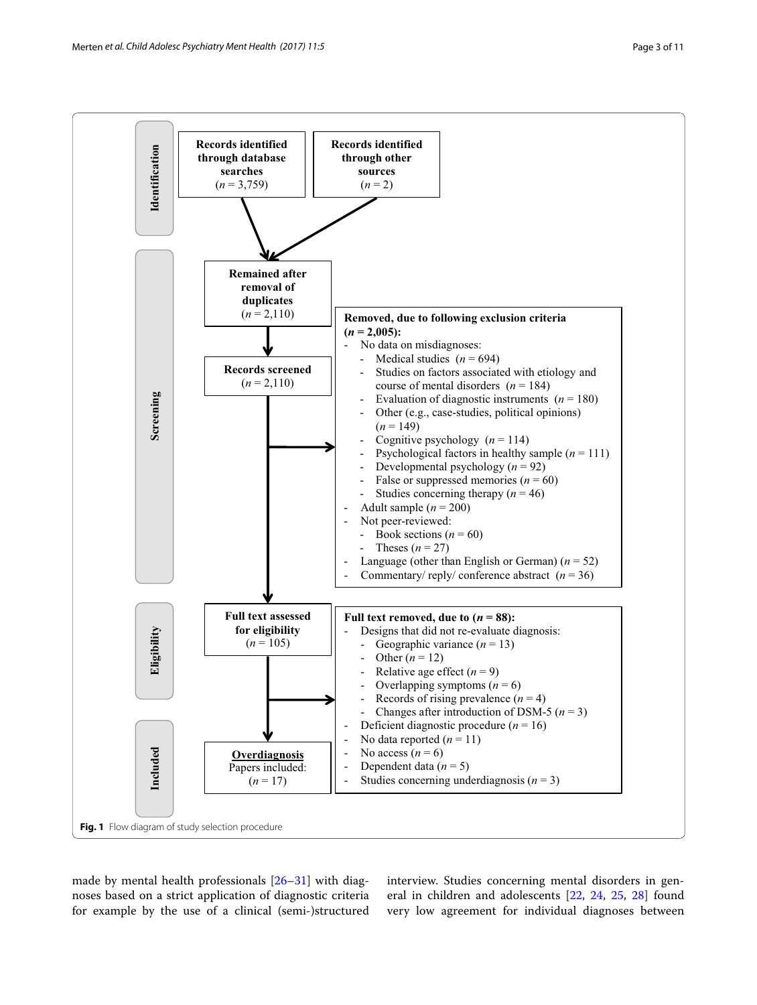

<span id="page-2-0"></span>made by mental health professionals [\[26–](#page-9-19)[31\]](#page-10-0) with diagnoses based on a strict application of diagnostic criteria for example by the use of a clinical (semi-)structured interview. Studies concerning mental disorders in general in children and adolescents [\[22](#page-9-20), [24,](#page-9-17) [25,](#page-9-18) [28](#page-9-21)] found very low agreement for individual diagnoses between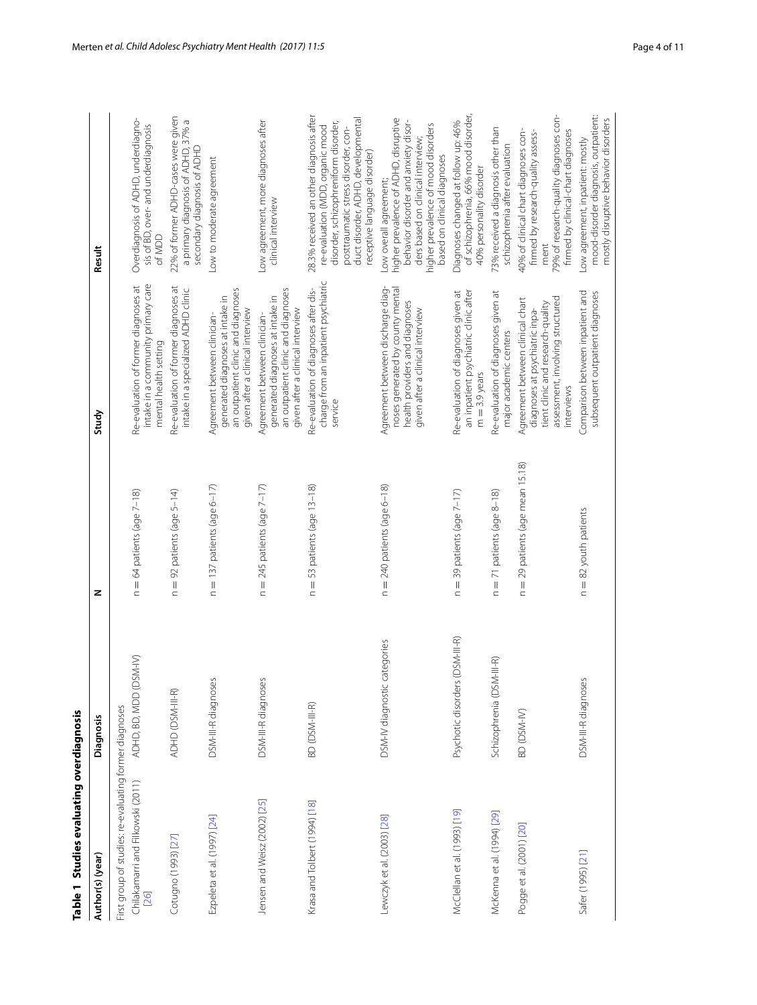<span id="page-3-0"></span>

| Table 1 Studies evaluating overdiagnosis                                                            |                                 |                                    |                                                                                                                                                           |                                                                                                                                                                                                                                  |
|-----------------------------------------------------------------------------------------------------|---------------------------------|------------------------------------|-----------------------------------------------------------------------------------------------------------------------------------------------------------|----------------------------------------------------------------------------------------------------------------------------------------------------------------------------------------------------------------------------------|
| Author(s) (year)                                                                                    | Diagnosis                       | z                                  | Study                                                                                                                                                     | Result                                                                                                                                                                                                                           |
| First group of studies: re-evaluating former diagnoses<br>Chilakamarri and Filkowski (2011)<br>[26] | ADHD, BD, MDD (DSM-IV)          | $n = 64$ patients (age 7-18)       | intake in a community primary care<br>Re-evaluation of former diagnoses at<br>mental health setting                                                       | Overdiagnosis of ADHD, underdiagno-<br>sis of BD, over- and underdiagnosis<br>of MDD                                                                                                                                             |
| Cotugno (1993) [27]                                                                                 | ADHD (DSM-III-R)                | $n = 92$ patients (age 5-14)       | Re-evaluation of former diagnoses at<br>intake in a specialized ADHD clinic                                                                               | 22% of former ADHD-cases were given<br>a primary diagnosis of ADHD, 37% a<br>secondary diagnosis of ADHD                                                                                                                         |
| Ezpeleta et al. (1997) [24]                                                                         | DSM-III-R diagnoses             | $n = 137$ patients (age 6–17)      | an outpatient clinic and diagnoses<br>generated diagnoses at intake in<br>given after a clinical interview<br>Agreement between clinician-                | Low to moderate agreement                                                                                                                                                                                                        |
| Jensen and Weisz (2002) [25]                                                                        | DSM-III-R diagnoses             | $n = 245$ patients (age 7-17)      | an outpatient clinic and diagnoses<br>generated diagnoses at intake in<br>given after a clinical interview<br>Agreement between clinician-                | Low agreement, more diagnoses after<br>clinical interview                                                                                                                                                                        |
| Krasa and Tolbert (1994) [18]                                                                       | BD (DSM-III-R)                  | $n = 53$ patients (age 13-18)      | charge from an inpatient psychiatric<br>Re-evaluation of diagnoses after dis-<br>service                                                                  | 28.3% received an other diagnosis after<br>duct disorder, ADHD, developmental<br>disorder, schizophreniform disorder,<br>re-evaluation (MDD, organic mood<br>posttraumatic stress disorder, con-<br>receptive language disorder) |
| Lewczyk et al. (2003) [28]                                                                          | categories<br>DSM-IV diagnostic | $n = 240$ patients (age 6-18)      | Agreement between discharge diag-<br>noses generated by county mental<br>health providers and diagnoses<br>given after a clinical interview               | higher prevalence of ADHD, disruptive<br>behavior disorder and anxiety disor-<br>higher prevalence of mood disorders<br>ders based on clinical interview;<br>based on clinical diagnoses<br>Low overall agreement;               |
| McClellan et al. (1993) [19]                                                                        | Psychotic disorders (DSM-III-R) | $n = 39$ patients (age 7-17)       | an inpatient psychiatric clinic after<br>Re-evaluation of diagnoses given at<br>$m = 3.9$ years                                                           | of schizophrenia, 66% mood disorder,<br>Diagnoses changed at follow up: 46%<br>40% personality disorder                                                                                                                          |
| McKenna et al. (1994) [29]                                                                          | Schizophrenia (DSM-III-R)       | $n = 71$ patients (age 8-18)       | Re-evaluation of diagnoses given at<br>major academic centers                                                                                             | 73% received a diagnosis other than<br>schizophrenia after evaluation                                                                                                                                                            |
| Pogge et al. (2001) [20]                                                                            | BD (DSM-IV)                     | $n = 29$ patients (age mean 15.18) | assessment, involving structured<br>Agreement between clinical chart<br>tient clinic and research-quality<br>diagnoses at psychiatric inpa-<br>interviews | 79% of research-quality diagnoses con-<br>40% of clinical chart diagnoses con-<br>firmed by research-quality assess-<br>firmed by clinical-chart diagnoses<br>ment                                                               |
| Safer (1995) [21]                                                                                   | DSM-III-R diagnoses             | $n = 82$ youth patients            | Comparison between inpatient and<br>subsequent outpatient diagnoses                                                                                       | mood-disorder diagnosis, outpatient:<br>mostly disruptive behavior disorders<br>Low agreement, inpatient: mostly                                                                                                                 |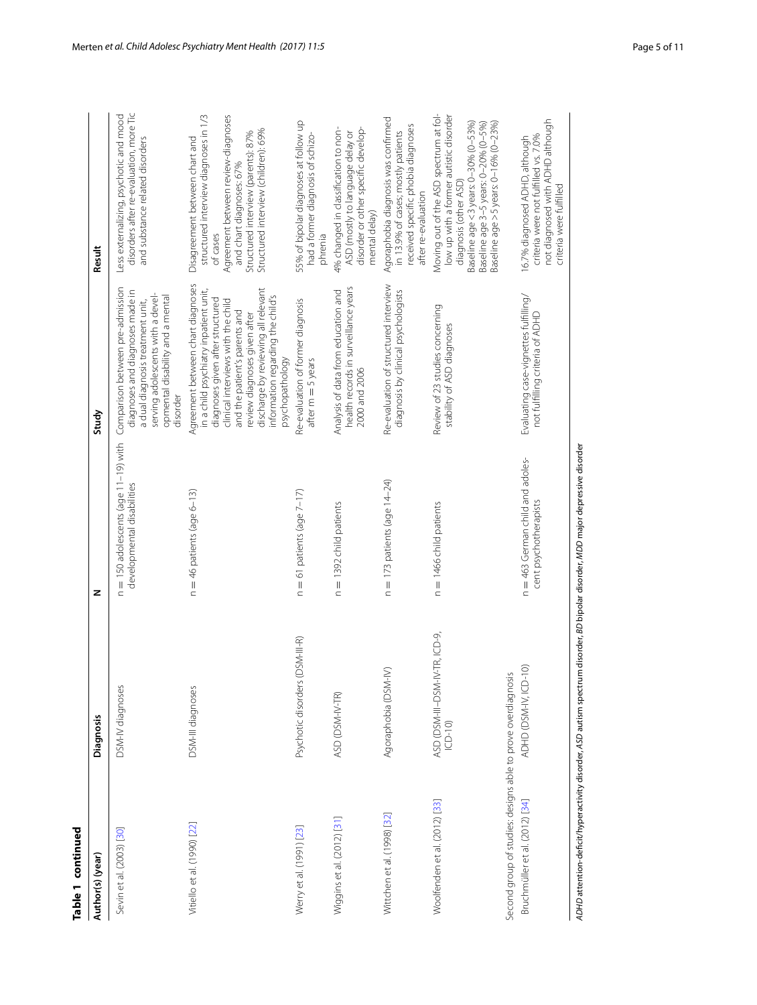| Table 1 continued                                                                              |                                             |                                                                                                                                 |                                                                                                                                                                                                                                                                                                                      |                                                                                                                                                                                                                                      |
|------------------------------------------------------------------------------------------------|---------------------------------------------|---------------------------------------------------------------------------------------------------------------------------------|----------------------------------------------------------------------------------------------------------------------------------------------------------------------------------------------------------------------------------------------------------------------------------------------------------------------|--------------------------------------------------------------------------------------------------------------------------------------------------------------------------------------------------------------------------------------|
| Author(s) (year)                                                                               | Diagnosis                                   | z                                                                                                                               | Study                                                                                                                                                                                                                                                                                                                | Result                                                                                                                                                                                                                               |
| Sevin et al. (2003) [30]                                                                       | DSM-IV diagnoses                            | n = 150 adolescents (age 11-19) with<br>developmental disabilities                                                              | Comparison between pre-admission<br>diagnoses and diagnoses made in<br>serving adolescents with a devel-<br>opmental disability and a mental<br>a dual diagnosis treatment unit,<br>disorder                                                                                                                         | disorders after re-evaluation, more Tic<br>Less externalizing, psychotic and mood<br>and substance related disorders                                                                                                                 |
| Vitiello et al. (1990) [22]                                                                    | DSM-III diagnoses                           | $n = 46$ patients (age 6-13)                                                                                                    | Agreement between chart diagnoses<br>discharge by reviewing all relevant<br>in a child psychiatry inpatient unit,<br>information regarding the child's<br>diagnoses given after structured<br>clinical interviews with the child<br>and the patient's parents and<br>review diagnoses given after<br>psychopathology | structured interview diagnoses in 1/3<br>Agreement between review-diagnoses<br>Structured interview (children): 69%<br>Structured interview (parents): 87%<br>Disagreement between chart and<br>and chart diagnoses: 67%<br>of cases |
| Werry et al. (1991) [23]                                                                       | $(DSM-III-R)$<br>Psychotic disorders        | $n = 61$ patients (age 7-17)                                                                                                    | Re-evaluation of former diagnosis<br>after $m = 5$ years                                                                                                                                                                                                                                                             | 55% of bipolar diagnoses at follow up<br>had a former diagnosis of schizo-<br>phrenia                                                                                                                                                |
| Wiggins et al. (2012) [31]                                                                     | ASD (DSM-IV-TR)                             | $n = 1392$ child patients                                                                                                       | health records in surveillance years<br>Analysis of data from education and<br>2000 and 2006                                                                                                                                                                                                                         | disorder or other specific develop-<br>4% changed in classification to non-<br>ASD (mostly to language delay or<br>mental delay)                                                                                                     |
| Wittchen et al. (1998) [32]                                                                    | Agoraphobia (DSM-IV)                        | $n = 173$ patients (age $14-24$ )                                                                                               | Re-evaluation of structured interview<br>diagnosis by clinical psychologists                                                                                                                                                                                                                                         | Agoraphobia diagnosis was confirmed<br>received specific phobia diagnoses<br>in 13.9% of cases; mostly patients<br>after re-evaluation                                                                                               |
| Woolfenden et al. (2012) [33]                                                                  | ASD (DSM-III-DSM-IV-TR, ICD-9,<br>$[CD-10]$ | n = 1466 child patients                                                                                                         | Review of 23 studies concerning<br>stability of ASD diagnoses                                                                                                                                                                                                                                                        | Moving out of the ASD spectrum at fol-<br>low up with a former autistic disorder<br>Baseline age <3 years: 0-30% (0-53%)<br>Baseline age 3-5 years: 0-20% (0-5%)<br>Baseline age >5 years: 0-16% (0-23%)<br>diagnosis (other ASD)    |
| Second group of studies: designs able to prove overdiagnosis<br>Bruchmüller et al. (2012) [34] | ADHD (DSM-IV, ICD-10)                       | n = 463 German child and adoles-<br>cent psychotherapists                                                                       | Evaluating case-vignettes fulfilling/<br>not fulfilling criteria of ADHD                                                                                                                                                                                                                                             | not diagnosed with ADHD although<br>criteria were not fulfilled vs. 7.0%<br>16.7% diagnosed ADHD, although<br>criteria were fulfilled                                                                                                |
|                                                                                                |                                             | ADHD attention-deficit/hyperactivity disorder, ASD autism spectrum disorder, BD bipolar disorder, MDD major depressive disorder |                                                                                                                                                                                                                                                                                                                      |                                                                                                                                                                                                                                      |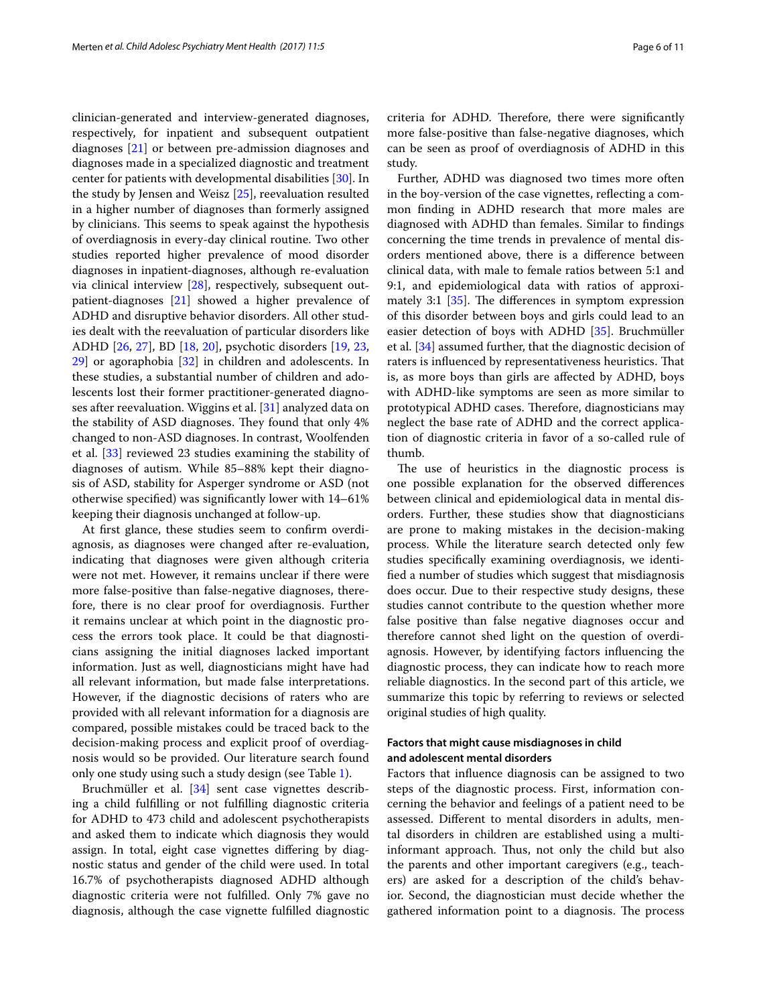clinician-generated and interview-generated diagnoses, respectively, for inpatient and subsequent outpatient diagnoses [\[21](#page-9-26)] or between pre-admission diagnoses and diagnoses made in a specialized diagnostic and treatment center for patients with developmental disabilities [\[30](#page-9-27)]. In the study by Jensen and Weisz [\[25](#page-9-18)], reevaluation resulted in a higher number of diagnoses than formerly assigned by clinicians. This seems to speak against the hypothesis of overdiagnosis in every-day clinical routine. Two other studies reported higher prevalence of mood disorder diagnoses in inpatient-diagnoses, although re-evaluation via clinical interview [[28](#page-9-21)], respectively, subsequent outpatient-diagnoses [\[21](#page-9-26)] showed a higher prevalence of ADHD and disruptive behavior disorders. All other studies dealt with the reevaluation of particular disorders like ADHD [[26,](#page-9-19) [27\]](#page-9-22), BD [\[18](#page-9-15), [20](#page-9-25)], psychotic disorders [\[19](#page-9-23), [23](#page-9-16), [29\]](#page-9-24) or agoraphobia [\[32](#page-10-1)] in children and adolescents. In these studies, a substantial number of children and adolescents lost their former practitioner-generated diagnoses after reevaluation. Wiggins et al. [\[31](#page-10-0)] analyzed data on the stability of ASD diagnoses. They found that only 4% changed to non-ASD diagnoses. In contrast, Woolfenden et al. [\[33](#page-10-2)] reviewed 23 studies examining the stability of diagnoses of autism. While 85–88% kept their diagnosis of ASD, stability for Asperger syndrome or ASD (not otherwise specified) was significantly lower with 14–61% keeping their diagnosis unchanged at follow-up.

At first glance, these studies seem to confirm overdiagnosis, as diagnoses were changed after re-evaluation, indicating that diagnoses were given although criteria were not met. However, it remains unclear if there were more false-positive than false-negative diagnoses, therefore, there is no clear proof for overdiagnosis. Further it remains unclear at which point in the diagnostic process the errors took place. It could be that diagnosticians assigning the initial diagnoses lacked important information. Just as well, diagnosticians might have had all relevant information, but made false interpretations. However, if the diagnostic decisions of raters who are provided with all relevant information for a diagnosis are compared, possible mistakes could be traced back to the decision-making process and explicit proof of overdiagnosis would so be provided. Our literature search found only one study using such a study design (see Table [1\)](#page-3-0).

Bruchmüller et al. [\[34](#page-10-3)] sent case vignettes describing a child fulfilling or not fulfilling diagnostic criteria for ADHD to 473 child and adolescent psychotherapists and asked them to indicate which diagnosis they would assign. In total, eight case vignettes differing by diagnostic status and gender of the child were used. In total 16.7% of psychotherapists diagnosed ADHD although diagnostic criteria were not fulfilled. Only 7% gave no diagnosis, although the case vignette fulfilled diagnostic criteria for ADHD. Therefore, there were significantly more false-positive than false-negative diagnoses, which can be seen as proof of overdiagnosis of ADHD in this study.

Further, ADHD was diagnosed two times more often in the boy-version of the case vignettes, reflecting a common finding in ADHD research that more males are diagnosed with ADHD than females. Similar to findings concerning the time trends in prevalence of mental disorders mentioned above, there is a difference between clinical data, with male to female ratios between 5:1 and 9:1, and epidemiological data with ratios of approximately 3:1 [[35\]](#page-10-4). The differences in symptom expression of this disorder between boys and girls could lead to an easier detection of boys with ADHD [[35\]](#page-10-4). Bruchmüller et al. [[34](#page-10-3)] assumed further, that the diagnostic decision of raters is influenced by representativeness heuristics. That is, as more boys than girls are affected by ADHD, boys with ADHD-like symptoms are seen as more similar to prototypical ADHD cases. Therefore, diagnosticians may neglect the base rate of ADHD and the correct application of diagnostic criteria in favor of a so-called rule of thumb.

The use of heuristics in the diagnostic process is one possible explanation for the observed differences between clinical and epidemiological data in mental disorders. Further, these studies show that diagnosticians are prone to making mistakes in the decision-making process. While the literature search detected only few studies specifically examining overdiagnosis, we identified a number of studies which suggest that misdiagnosis does occur. Due to their respective study designs, these studies cannot contribute to the question whether more false positive than false negative diagnoses occur and therefore cannot shed light on the question of overdiagnosis. However, by identifying factors influencing the diagnostic process, they can indicate how to reach more reliable diagnostics. In the second part of this article, we summarize this topic by referring to reviews or selected original studies of high quality.

# **Factors that might cause misdiagnoses in child and adolescent mental disorders**

Factors that influence diagnosis can be assigned to two steps of the diagnostic process. First, information concerning the behavior and feelings of a patient need to be assessed. Different to mental disorders in adults, mental disorders in children are established using a multiinformant approach. Thus, not only the child but also the parents and other important caregivers (e.g., teachers) are asked for a description of the child's behavior. Second, the diagnostician must decide whether the gathered information point to a diagnosis. The process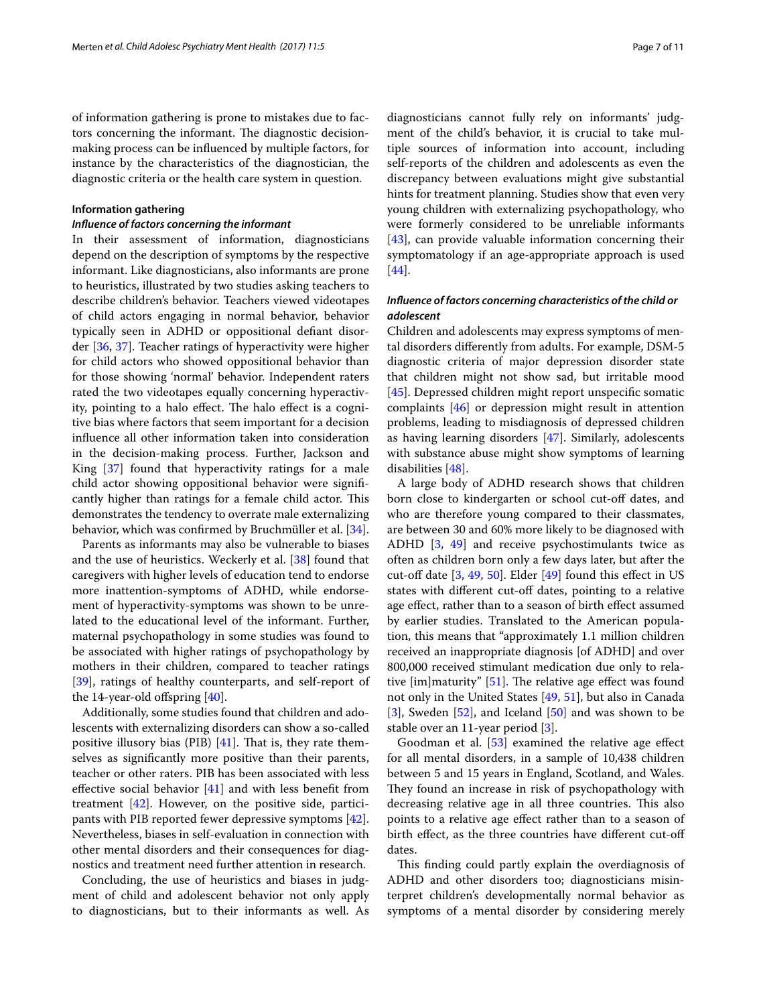of information gathering is prone to mistakes due to factors concerning the informant. The diagnostic decisionmaking process can be influenced by multiple factors, for instance by the characteristics of the diagnostician, the diagnostic criteria or the health care system in question.

## **Information gathering**

## *Influence of factors concerning the informant*

In their assessment of information, diagnosticians depend on the description of symptoms by the respective informant. Like diagnosticians, also informants are prone to heuristics, illustrated by two studies asking teachers to describe children's behavior. Teachers viewed videotapes of child actors engaging in normal behavior, behavior typically seen in ADHD or oppositional defiant disorder [\[36,](#page-10-5) [37\]](#page-10-6). Teacher ratings of hyperactivity were higher for child actors who showed oppositional behavior than for those showing 'normal' behavior. Independent raters rated the two videotapes equally concerning hyperactivity, pointing to a halo effect. The halo effect is a cognitive bias where factors that seem important for a decision influence all other information taken into consideration in the decision-making process. Further, Jackson and King [\[37](#page-10-6)] found that hyperactivity ratings for a male child actor showing oppositional behavior were significantly higher than ratings for a female child actor. This demonstrates the tendency to overrate male externalizing behavior, which was confirmed by Bruchmüller et al. [\[34](#page-10-3)].

Parents as informants may also be vulnerable to biases and the use of heuristics. Weckerly et al. [\[38](#page-10-7)] found that caregivers with higher levels of education tend to endorse more inattention-symptoms of ADHD, while endorsement of hyperactivity-symptoms was shown to be unrelated to the educational level of the informant. Further, maternal psychopathology in some studies was found to be associated with higher ratings of psychopathology by mothers in their children, compared to teacher ratings [[39\]](#page-10-8), ratings of healthy counterparts, and self-report of the 14-year-old offspring [[40](#page-10-9)].

Additionally, some studies found that children and adolescents with externalizing disorders can show a so-called positive illusory bias (PIB)  $[41]$ . That is, they rate themselves as significantly more positive than their parents, teacher or other raters. PIB has been associated with less effective social behavior [\[41](#page-10-10)] and with less benefit from treatment [[42\]](#page-10-11). However, on the positive side, participants with PIB reported fewer depressive symptoms [\[42](#page-10-11)]. Nevertheless, biases in self-evaluation in connection with other mental disorders and their consequences for diagnostics and treatment need further attention in research.

Concluding, the use of heuristics and biases in judgment of child and adolescent behavior not only apply to diagnosticians, but to their informants as well. As diagnosticians cannot fully rely on informants' judgment of the child's behavior, it is crucial to take multiple sources of information into account, including self-reports of the children and adolescents as even the discrepancy between evaluations might give substantial hints for treatment planning. Studies show that even very young children with externalizing psychopathology, who were formerly considered to be unreliable informants [[43\]](#page-10-12), can provide valuable information concerning their symptomatology if an age-appropriate approach is used [[44\]](#page-10-13).

## *Influence of factors concerning characteristics of the child or adolescent*

Children and adolescents may express symptoms of mental disorders differently from adults. For example, DSM-5 diagnostic criteria of major depression disorder state that children might not show sad, but irritable mood [[45\]](#page-10-14). Depressed children might report unspecific somatic complaints [[46\]](#page-10-15) or depression might result in attention problems, leading to misdiagnosis of depressed children as having learning disorders [\[47](#page-10-16)]. Similarly, adolescents with substance abuse might show symptoms of learning disabilities [[48](#page-10-17)].

A large body of ADHD research shows that children born close to kindergarten or school cut-off dates, and who are therefore young compared to their classmates, are between 30 and 60% more likely to be diagnosed with ADHD [\[3,](#page-9-2) [49](#page-10-18)] and receive psychostimulants twice as often as children born only a few days later, but after the cut-off date [\[3](#page-9-2), [49](#page-10-18), [50](#page-10-19)]. Elder [\[49\]](#page-10-18) found this effect in US states with different cut-off dates, pointing to a relative age effect, rather than to a season of birth effect assumed by earlier studies. Translated to the American population, this means that "approximately 1.1 million children received an inappropriate diagnosis [of ADHD] and over 800,000 received stimulant medication due only to relative [im]maturity" [\[51\]](#page-10-20). The relative age effect was found not only in the United States [[49,](#page-10-18) [51\]](#page-10-20), but also in Canada  $[3]$  $[3]$ , Sweden  $[52]$  $[52]$ , and Iceland  $[50]$  $[50]$  and was shown to be stable over an 11-year period [[3](#page-9-2)].

Goodman et al. [\[53](#page-10-22)] examined the relative age effect for all mental disorders, in a sample of 10,438 children between 5 and 15 years in England, Scotland, and Wales. They found an increase in risk of psychopathology with decreasing relative age in all three countries. This also points to a relative age effect rather than to a season of birth effect, as the three countries have different cut-off dates.

This finding could partly explain the overdiagnosis of ADHD and other disorders too; diagnosticians misinterpret children's developmentally normal behavior as symptoms of a mental disorder by considering merely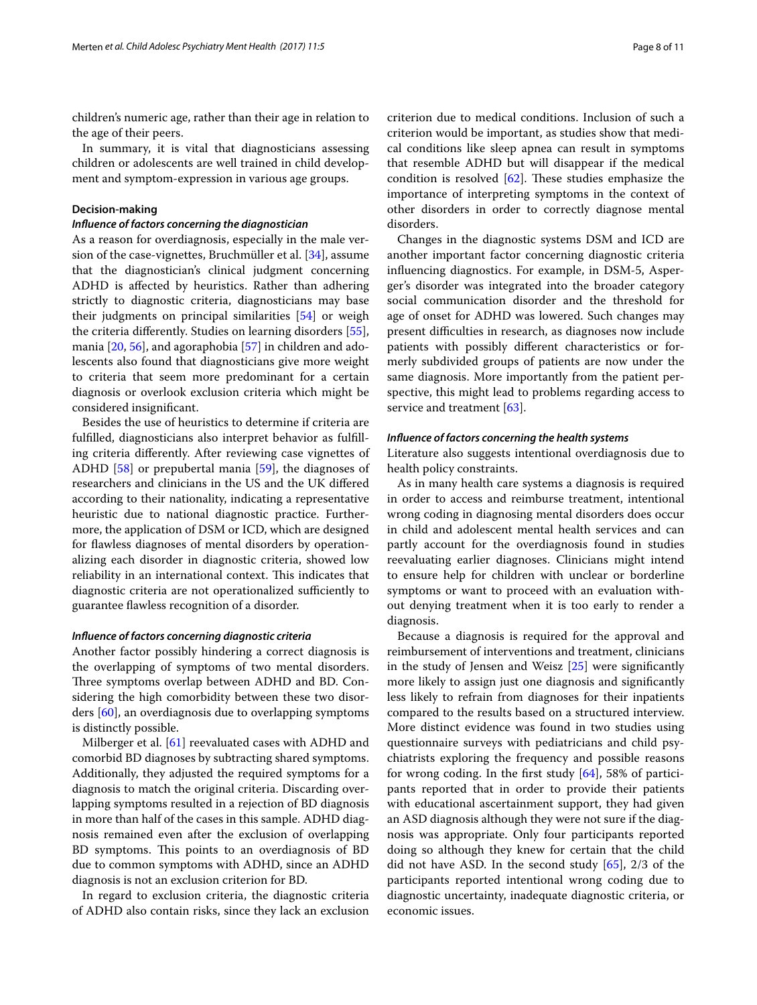children's numeric age, rather than their age in relation to the age of their peers.

In summary, it is vital that diagnosticians assessing children or adolescents are well trained in child development and symptom-expression in various age groups.

## **Decision‑making**

### *Influence of factors concerning the diagnostician*

As a reason for overdiagnosis, especially in the male version of the case-vignettes, Bruchmüller et al. [[34\]](#page-10-3), assume that the diagnostician's clinical judgment concerning ADHD is affected by heuristics. Rather than adhering strictly to diagnostic criteria, diagnosticians may base their judgments on principal similarities [[54\]](#page-10-23) or weigh the criteria differently. Studies on learning disorders [\[55](#page-10-24)], mania [\[20](#page-9-25), [56\]](#page-10-25), and agoraphobia [[57\]](#page-10-26) in children and adolescents also found that diagnosticians give more weight to criteria that seem more predominant for a certain diagnosis or overlook exclusion criteria which might be considered insignificant.

Besides the use of heuristics to determine if criteria are fulfilled, diagnosticians also interpret behavior as fulfilling criteria differently. After reviewing case vignettes of ADHD [\[58](#page-10-27)] or prepubertal mania [\[59\]](#page-10-28), the diagnoses of researchers and clinicians in the US and the UK differed according to their nationality, indicating a representative heuristic due to national diagnostic practice. Furthermore, the application of DSM or ICD, which are designed for flawless diagnoses of mental disorders by operationalizing each disorder in diagnostic criteria, showed low reliability in an international context. This indicates that diagnostic criteria are not operationalized sufficiently to guarantee flawless recognition of a disorder.

## *Influence of factors concerning diagnostic criteria*

Another factor possibly hindering a correct diagnosis is the overlapping of symptoms of two mental disorders. Three symptoms overlap between ADHD and BD. Considering the high comorbidity between these two disorders [[60\]](#page-10-29), an overdiagnosis due to overlapping symptoms is distinctly possible.

Milberger et al. [\[61](#page-10-30)] reevaluated cases with ADHD and comorbid BD diagnoses by subtracting shared symptoms. Additionally, they adjusted the required symptoms for a diagnosis to match the original criteria. Discarding overlapping symptoms resulted in a rejection of BD diagnosis in more than half of the cases in this sample. ADHD diagnosis remained even after the exclusion of overlapping BD symptoms. This points to an overdiagnosis of BD due to common symptoms with ADHD, since an ADHD diagnosis is not an exclusion criterion for BD.

In regard to exclusion criteria, the diagnostic criteria of ADHD also contain risks, since they lack an exclusion criterion due to medical conditions. Inclusion of such a criterion would be important, as studies show that medical conditions like sleep apnea can result in symptoms that resemble ADHD but will disappear if the medical condition is resolved [\[62](#page-10-31)]. These studies emphasize the importance of interpreting symptoms in the context of other disorders in order to correctly diagnose mental disorders.

Changes in the diagnostic systems DSM and ICD are another important factor concerning diagnostic criteria influencing diagnostics. For example, in DSM-5, Asperger's disorder was integrated into the broader category social communication disorder and the threshold for age of onset for ADHD was lowered. Such changes may present difficulties in research, as diagnoses now include patients with possibly different characteristics or formerly subdivided groups of patients are now under the same diagnosis. More importantly from the patient perspective, this might lead to problems regarding access to service and treatment [[63\]](#page-10-32).

### *Influence of factors concerning the health systems*

Literature also suggests intentional overdiagnosis due to health policy constraints.

As in many health care systems a diagnosis is required in order to access and reimburse treatment, intentional wrong coding in diagnosing mental disorders does occur in child and adolescent mental health services and can partly account for the overdiagnosis found in studies reevaluating earlier diagnoses. Clinicians might intend to ensure help for children with unclear or borderline symptoms or want to proceed with an evaluation without denying treatment when it is too early to render a diagnosis.

Because a diagnosis is required for the approval and reimbursement of interventions and treatment, clinicians in the study of Jensen and Weisz [[25\]](#page-9-18) were significantly more likely to assign just one diagnosis and significantly less likely to refrain from diagnoses for their inpatients compared to the results based on a structured interview. More distinct evidence was found in two studies using questionnaire surveys with pediatricians and child psychiatrists exploring the frequency and possible reasons for wrong coding. In the first study [[64](#page-10-33)], 58% of participants reported that in order to provide their patients with educational ascertainment support, they had given an ASD diagnosis although they were not sure if the diagnosis was appropriate. Only four participants reported doing so although they knew for certain that the child did not have ASD. In the second study [[65](#page-10-34)], 2/3 of the participants reported intentional wrong coding due to diagnostic uncertainty, inadequate diagnostic criteria, or economic issues.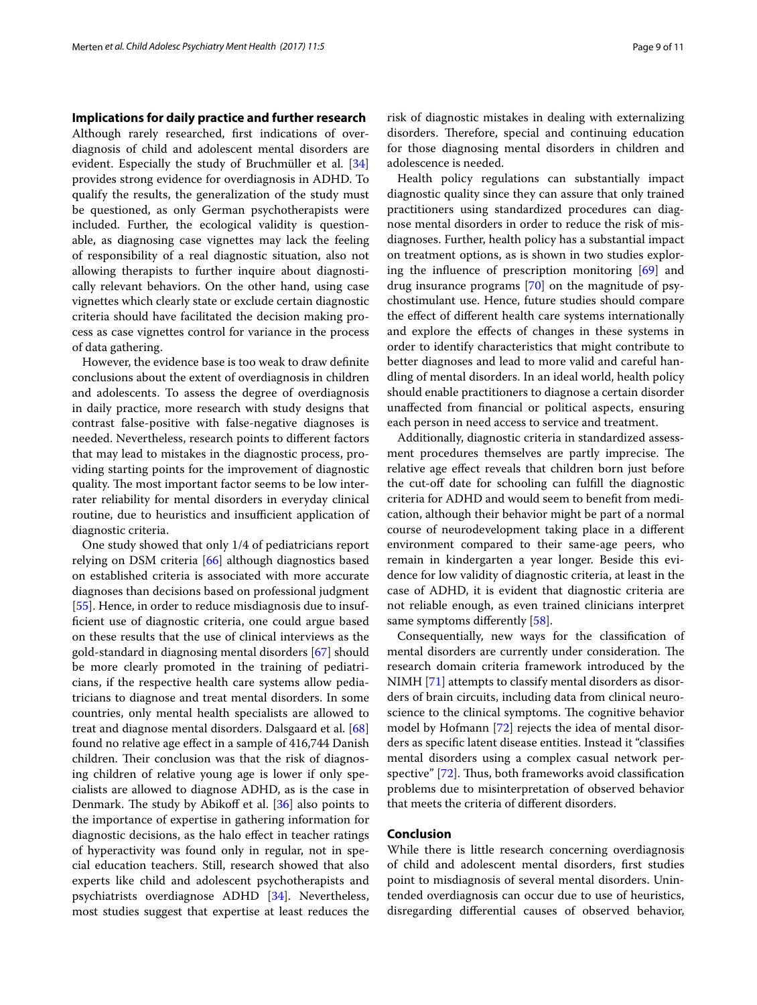## **Implications for daily practice and further research**

Although rarely researched, first indications of overdiagnosis of child and adolescent mental disorders are evident. Especially the study of Bruchmüller et al. [[34](#page-10-3)] provides strong evidence for overdiagnosis in ADHD. To qualify the results, the generalization of the study must be questioned, as only German psychotherapists were included. Further, the ecological validity is questionable, as diagnosing case vignettes may lack the feeling of responsibility of a real diagnostic situation, also not allowing therapists to further inquire about diagnostically relevant behaviors. On the other hand, using case vignettes which clearly state or exclude certain diagnostic criteria should have facilitated the decision making process as case vignettes control for variance in the process of data gathering.

However, the evidence base is too weak to draw definite conclusions about the extent of overdiagnosis in children and adolescents. To assess the degree of overdiagnosis in daily practice, more research with study designs that contrast false-positive with false-negative diagnoses is needed. Nevertheless, research points to different factors that may lead to mistakes in the diagnostic process, providing starting points for the improvement of diagnostic quality. The most important factor seems to be low interrater reliability for mental disorders in everyday clinical routine, due to heuristics and insufficient application of diagnostic criteria.

One study showed that only 1/4 of pediatricians report relying on DSM criteria [\[66](#page-10-35)] although diagnostics based on established criteria is associated with more accurate diagnoses than decisions based on professional judgment [[55\]](#page-10-24). Hence, in order to reduce misdiagnosis due to insufficient use of diagnostic criteria, one could argue based on these results that the use of clinical interviews as the gold-standard in diagnosing mental disorders [[67\]](#page-10-36) should be more clearly promoted in the training of pediatricians, if the respective health care systems allow pediatricians to diagnose and treat mental disorders. In some countries, only mental health specialists are allowed to treat and diagnose mental disorders. Dalsgaard et al. [[68](#page-10-37)] found no relative age effect in a sample of 416,744 Danish children. Their conclusion was that the risk of diagnosing children of relative young age is lower if only specialists are allowed to diagnose ADHD, as is the case in Denmark. The study by Abikoff et al. [[36\]](#page-10-5) also points to the importance of expertise in gathering information for diagnostic decisions, as the halo effect in teacher ratings of hyperactivity was found only in regular, not in special education teachers. Still, research showed that also experts like child and adolescent psychotherapists and psychiatrists overdiagnose ADHD [[34\]](#page-10-3). Nevertheless, most studies suggest that expertise at least reduces the risk of diagnostic mistakes in dealing with externalizing disorders. Therefore, special and continuing education for those diagnosing mental disorders in children and adolescence is needed.

Health policy regulations can substantially impact diagnostic quality since they can assure that only trained practitioners using standardized procedures can diagnose mental disorders in order to reduce the risk of misdiagnoses. Further, health policy has a substantial impact on treatment options, as is shown in two studies exploring the influence of prescription monitoring [\[69](#page-10-38)] and drug insurance programs [[70\]](#page-10-39) on the magnitude of psychostimulant use. Hence, future studies should compare the effect of different health care systems internationally and explore the effects of changes in these systems in order to identify characteristics that might contribute to better diagnoses and lead to more valid and careful handling of mental disorders. In an ideal world, health policy should enable practitioners to diagnose a certain disorder unaffected from financial or political aspects, ensuring each person in need access to service and treatment.

Additionally, diagnostic criteria in standardized assessment procedures themselves are partly imprecise. The relative age effect reveals that children born just before the cut-off date for schooling can fulfill the diagnostic criteria for ADHD and would seem to benefit from medication, although their behavior might be part of a normal course of neurodevelopment taking place in a different environment compared to their same-age peers, who remain in kindergarten a year longer. Beside this evidence for low validity of diagnostic criteria, at least in the case of ADHD, it is evident that diagnostic criteria are not reliable enough, as even trained clinicians interpret same symptoms differently [[58\]](#page-10-27).

Consequentially, new ways for the classification of mental disorders are currently under consideration. The research domain criteria framework introduced by the NIMH [[71\]](#page-10-40) attempts to classify mental disorders as disorders of brain circuits, including data from clinical neuroscience to the clinical symptoms. The cognitive behavior model by Hofmann [\[72\]](#page-10-41) rejects the idea of mental disorders as specific latent disease entities. Instead it "classifies mental disorders using a complex casual network perspective" [\[72\]](#page-10-41). Thus, both frameworks avoid classification problems due to misinterpretation of observed behavior that meets the criteria of different disorders.

# **Conclusion**

While there is little research concerning overdiagnosis of child and adolescent mental disorders, first studies point to misdiagnosis of several mental disorders. Unintended overdiagnosis can occur due to use of heuristics, disregarding differential causes of observed behavior,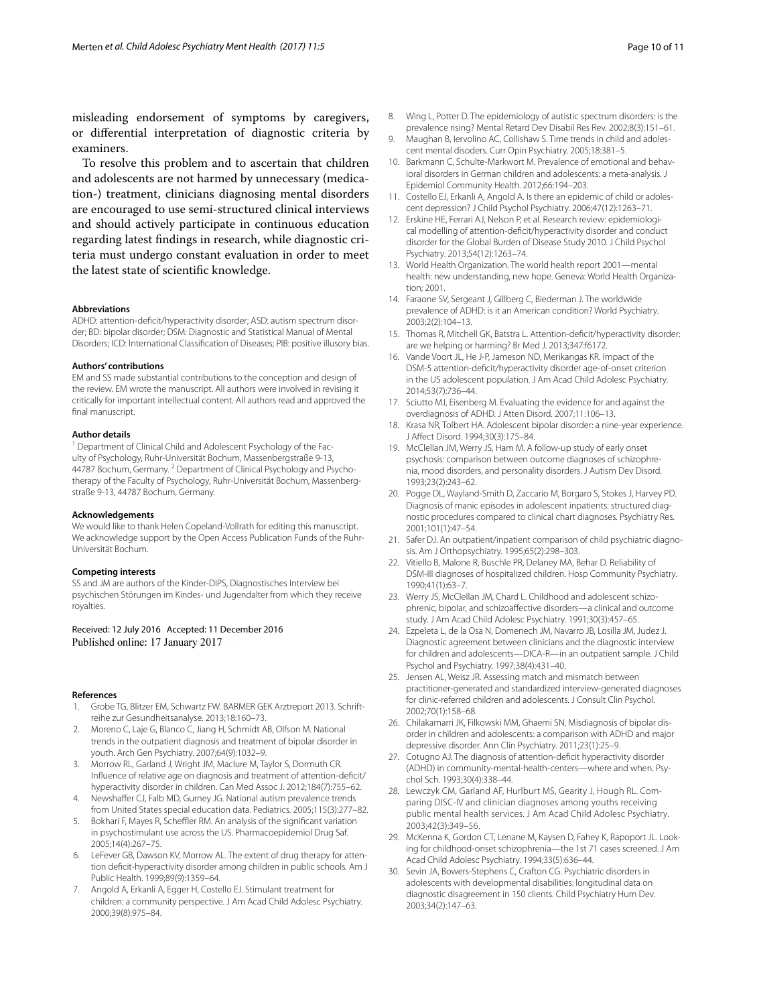misleading endorsement of symptoms by caregivers, or differential interpretation of diagnostic criteria by examiners.

To resolve this problem and to ascertain that children and adolescents are not harmed by unnecessary (medication-) treatment, clinicians diagnosing mental disorders are encouraged to use semi-structured clinical interviews and should actively participate in continuous education regarding latest findings in research, while diagnostic criteria must undergo constant evaluation in order to meet the latest state of scientific knowledge.

#### **Abbreviations**

ADHD: attention-deficit/hyperactivity disorder; ASD: autism spectrum disorder; BD: bipolar disorder; DSM: Diagnostic and Statistical Manual of Mental Disorders; ICD: International Classification of Diseases; PIB: positive illusory bias.

#### **Authors' contributions**

EM and SS made substantial contributions to the conception and design of the review. EM wrote the manuscript. All authors were involved in revising it critically for important intellectual content. All authors read and approved the final manuscript.

#### **Author details**

<sup>1</sup> Department of Clinical Child and Adolescent Psychology of the Faculty of Psychology, Ruhr-Universität Bochum, Massenbergstraße 9-13, 44787 Bochum, Germany.<sup>2</sup> Department of Clinical Psychology and Psychotherapy of the Faculty of Psychology, Ruhr-Universität Bochum, Massenbergstraße 9-13, 44787 Bochum, Germany.

#### **Acknowledgements**

We would like to thank Helen Copeland-Vollrath for editing this manuscript. We acknowledge support by the Open Access Publication Funds of the Ruhr-Universität Bochum.

#### **Competing interests**

SS and JM are authors of the Kinder-DIPS, Diagnostisches Interview bei psychischen Störungen im Kindes- und Jugendalter from which they receive royalties.

Received: 12 July 2016 Accepted: 11 December 2016 Published online: 17 January 2017

#### **References**

- <span id="page-9-0"></span>1. Grobe TG, Blitzer EM, Schwartz FW. BARMER GEK Arztreport 2013. Schriftreihe zur Gesundheitsanalyse. 2013;18:160–73.
- <span id="page-9-1"></span>2. Moreno C, Laje G, Blanco C, Jiang H, Schmidt AB, Olfson M. National trends in the outpatient diagnosis and treatment of bipolar disorder in youth. Arch Gen Psychiatry. 2007;64(9):1032–9.
- <span id="page-9-2"></span>3. Morrow RL, Garland J, Wright JM, Maclure M, Taylor S, Dormuth CR. Influence of relative age on diagnosis and treatment of attention-deficit/ hyperactivity disorder in children. Can Med Assoc J. 2012;184(7):755–62.
- <span id="page-9-3"></span>4. Newshaffer CJ, Falb MD, Gurney JG. National autism prevalence trends from United States special education data. Pediatrics. 2005;115(3):277–82.
- <span id="page-9-4"></span>5. Bokhari F, Mayes R, Scheffler RM. An analysis of the significant variation in psychostimulant use across the US. Pharmacoepidemiol Drug Saf. 2005;14(4):267–75.
- <span id="page-9-5"></span>6. LeFever GB, Dawson KV, Morrow AL. The extent of drug therapy for attention deficit-hyperactivity disorder among children in public schools. Am J Public Health. 1999;89(9):1359–64.
- <span id="page-9-6"></span>7. Angold A, Erkanli A, Egger H, Costello EJ. Stimulant treatment for children: a community perspective. J Am Acad Child Adolesc Psychiatry. 2000;39(8):975–84.
- <span id="page-9-7"></span>8. Wing L, Potter D. The epidemiology of autistic spectrum disorders: is the prevalence rising? Mental Retard Dev Disabil Res Rev. 2002;8(3):151–61.
- <span id="page-9-8"></span>9. Maughan B, Iervolino AC, Collishaw S. Time trends in child and adolescent mental disoders. Curr Opin Psychiatry. 2005;18:381–5.
- <span id="page-9-9"></span>10. Barkmann C, Schulte-Markwort M. Prevalence of emotional and behavioral disorders in German children and adolescents: a meta-analysis. J Epidemiol Community Health. 2012;66:194–203.
- 11. Costello EJ, Erkanli A, Angold A. Is there an epidemic of child or adolescent depression? J Child Psychol Psychiatry. 2006;47(12):1263–71.
- <span id="page-9-10"></span>12. Erskine HE, Ferrari AJ, Nelson P, et al. Research review: epidemiological modelling of attention-deficit/hyperactivity disorder and conduct disorder for the Global Burden of Disease Study 2010. J Child Psychol Psychiatry. 2013;54(12):1263–74.
- <span id="page-9-11"></span>13. World Health Organization. The world health report 2001—mental health: new understanding, new hope. Geneva: World Health Organization; 2001.
- <span id="page-9-12"></span>14. Faraone SV, Sergeant J, Gillberg C, Biederman J. The worldwide prevalence of ADHD: is it an American condition? World Psychiatry. 2003;2(2):104–13.
- 15. Thomas R, Mitchell GK, Batstra L. Attention-deficit/hyperactivity disorder: are we helping or harming? Br Med J. 2013;347:f6172.
- <span id="page-9-13"></span>16. Vande Voort JL, He J-P, Jameson ND, Merikangas KR. Impact of the DSM-5 attention-deficit/hyperactivity disorder age-of-onset criterion in the US adolescent population. J Am Acad Child Adolesc Psychiatry. 2014;53(7):736–44.
- <span id="page-9-14"></span>17. Sciutto MJ, Eisenberg M. Evaluating the evidence for and against the overdiagnosis of ADHD. J Atten Disord. 2007;11:106–13.
- <span id="page-9-15"></span>18. Krasa NR, Tolbert HA. Adolescent bipolar disorder: a nine-year experience. J Affect Disord. 1994;30(3):175–84.
- <span id="page-9-23"></span>19. McClellan JM, Werry JS, Ham M. A follow-up study of early onset psychosis: comparison between outcome diagnoses of schizophrenia, mood disorders, and personality disorders. J Autism Dev Disord. 1993;23(2):243–62.
- <span id="page-9-25"></span>20. Pogge DL, Wayland-Smith D, Zaccario M, Borgaro S, Stokes J, Harvey PD. Diagnosis of manic episodes in adolescent inpatients: structured diagnostic procedures compared to clinical chart diagnoses. Psychiatry Res. 2001;101(1):47–54.
- <span id="page-9-26"></span>21. Safer DJ. An outpatient/inpatient comparison of child psychiatric diagnosis. Am J Orthopsychiatry. 1995;65(2):298–303.
- <span id="page-9-20"></span>22. Vitiello B, Malone R, Buschle PR, Delaney MA, Behar D. Reliability of DSM-III diagnoses of hospitalized children. Hosp Community Psychiatry. 1990;41(1):63–7.
- <span id="page-9-16"></span>23. Werry JS, McClellan JM, Chard L. Childhood and adolescent schizophrenic, bipolar, and schizoaffective disorders—a clinical and outcome study. J Am Acad Child Adolesc Psychiatry. 1991;30(3):457–65.
- <span id="page-9-17"></span>24. Ezpeleta L, de la Osa N, Domenech JM, Navarro JB, Losilla JM, Judez J. Diagnostic agreement between clinicians and the diagnostic interview for children and adolescents—DICA-R—in an outpatient sample. J Child Psychol and Psychiatry. 1997;38(4):431–40.
- <span id="page-9-18"></span>25. Jensen AL, Weisz JR. Assessing match and mismatch between practitioner-generated and standardized interview-generated diagnoses for clinic-referred children and adolescents. J Consult Clin Psychol. 2002;70(1):158–68.
- <span id="page-9-19"></span>26. Chilakamarri JK, Filkowski MM, Ghaemi SN. Misdiagnosis of bipolar disorder in children and adolescents: a comparison with ADHD and major depressive disorder. Ann Clin Psychiatry. 2011;23(1):25–9.
- <span id="page-9-22"></span>27. Cotugno AJ. The diagnosis of attention-deficit hyperactivity disorder (ADHD) in community-mental-health-centers—where and when. Psychol Sch. 1993;30(4):338–44.
- <span id="page-9-21"></span>28. Lewczyk CM, Garland AF, Hurlburt MS, Gearity J, Hough RL. Comparing DISC-IV and clinician diagnoses among youths receiving public mental health services. J Am Acad Child Adolesc Psychiatry. 2003;42(3):349–56.
- <span id="page-9-24"></span>29. McKenna K, Gordon CT, Lenane M, Kaysen D, Fahey K, Rapoport JL. Looking for childhood-onset schizophrenia—the 1st 71 cases screened. J Am Acad Child Adolesc Psychiatry. 1994;33(5):636–44.
- <span id="page-9-27"></span>30. Sevin JA, Bowers-Stephens C, Crafton CG. Psychiatric disorders in adolescents with developmental disabilities: longitudinal data on diagnostic disagreement in 150 clients. Child Psychiatry Hum Dev. 2003;34(2):147–63.